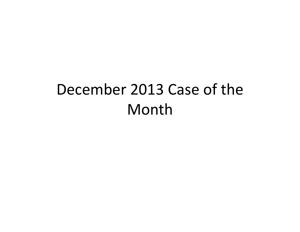## December 2013 Case of the Month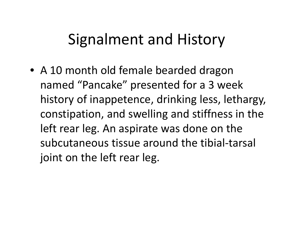## Signalment and History

• A 10 month old female bearded dragon named "Pancake" presented for <sup>a</sup> 3 week history of inappetence, drinking less, lethargy, constipation, and swelling and stiffness in the left rear leg. An aspirate was done on the subcutaneous tissue around the tibial‐tarsal joint on the left rear leg.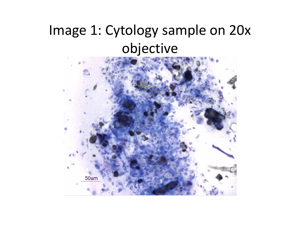## Image 1: Cytology sample on 20x objective

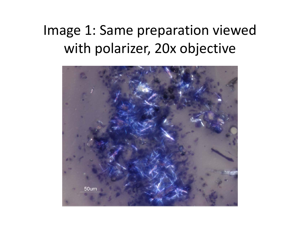## Image 1: Same preparation viewed with polarizer, 20x objective

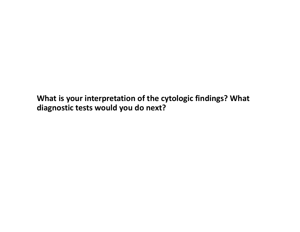**What is your interpretation of the cytologic findings? What diagnostic tests would you do next?**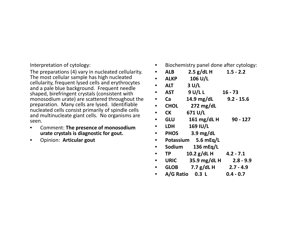Interpretation of cytology:

The preparations (4) vary in nucleated cellularity. The most cellular sample has high nucleated cellularity, frequent lysed cells and erythrocytes and a pale blue background. Frequent needle shaped, birefringent crystals (consistent with monosodium urate) are scattered throughout the preparation. Many cells are lysed. Identifiable nucleated cells consist primarily of spindle cells and multinucleate giant cells. No organisms are seen.

- $\bullet$  Comment: **The presence of monosodium urate crystals is diagnostic for gout.**
- •Opinion: **Articular gout**
- $\bullet$ Biochemistry panel done after cytology:
- • **ALB 2.5 g/dL H 1.5 ‐ 2.2** • **ALKP106 U/L**
- • **ALT3 U/L**
- • **AST9 U/L L 16 ‐ 73**
- $\bullet$ **Ca 14.9 mg/dL 9.2 ‐ 15.6**
- • **CHOL272 mg/dL**
- • **CK671 U/L**
- • **GLU161 mg/dL H 90 ‐ 127**
- $\bullet$  **LDH169 IU/L**
- • **PHOS3.9 mg/dL**
- • **Potassium5.6 mEq/L**
- • **Sodium136 mEq/L**
- • **TP** $10.2$   $g/dL$  **H**  $4.2 - 7.1$
- $\bullet$  **URIC35.9 mg/dL H 2.8 ‐ 9.9**
- • **GLOB7.7 g/dL H 2.7 ‐ 4.9**
- • **A/G Ratio 0.3 L0.4 ‐ 0.7**